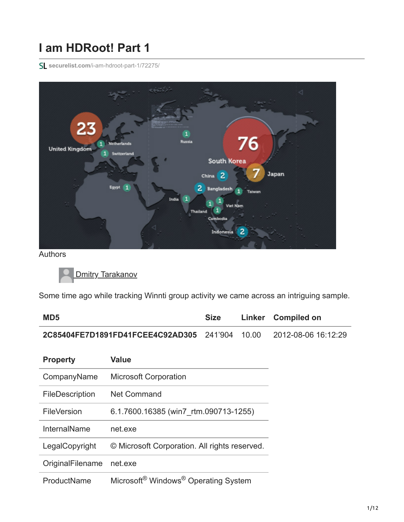# **I am HDRoot! Part 1**

**securelist.com**[/i-am-hdroot-part-1/72275/](https://securelist.com/i-am-hdroot-part-1/72275/)



Authors

**[Dmitry Tarakanov](https://securelist.com/author/dmitryt/)** 

Some time ago while tracking Winnti group activity we came across an intriguing sample.

| MD <sub>5</sub>                                | <b>Size</b> | Linker Compiled on  |
|------------------------------------------------|-------------|---------------------|
| 2C85404FE7D1891FD41FCEE4C92AD305 241'904 10.00 |             | 2012-08-06 16:12:29 |

| <b>Property</b>  | <b>Value</b>                                                 |
|------------------|--------------------------------------------------------------|
| CompanyName      | <b>Microsoft Corporation</b>                                 |
| FileDescription  | <b>Net Command</b>                                           |
| FileVersion      | 6.1.7600.16385 (win7 rtm.090713-1255)                        |
| InternalName     | net.exe                                                      |
| LegalCopyright   | © Microsoft Corporation. All rights reserved.                |
| OriginalFilename | net.exe                                                      |
| ProductName      | Microsoft <sup>®</sup> Windows <sup>®</sup> Operating System |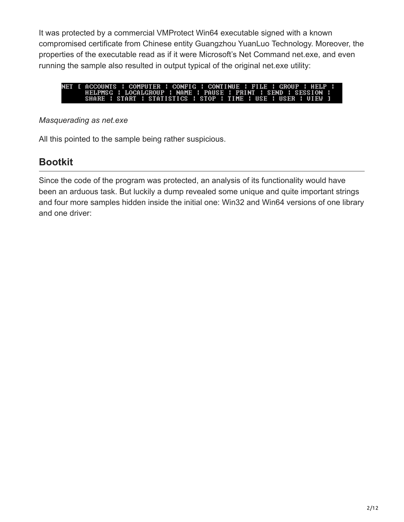It was protected by a commercial VMProtect Win64 executable signed with a known compromised certificate from Chinese entity Guangzhou YuanLuo Technology. Moreover, the properties of the executable read as if it were Microsoft's Net Command net.exe, and even running the sample also resulted in output typical of the original net.exe utility:



#### *Masquerading as net.exe*

All this pointed to the sample being rather suspicious.

## **Bootkit**

Since the code of the program was protected, an analysis of its functionality would have been an arduous task. But luckily a dump revealed some unique and quite important strings and four more samples hidden inside the initial one: Win32 and Win64 versions of one library and one driver: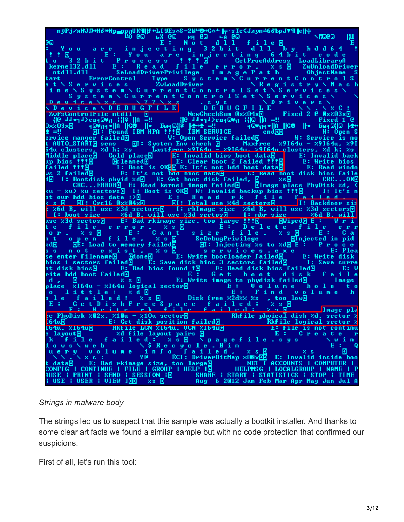| † slePJv=nyad&d=nyad&dyd=2&e@PH+{llyad=dyd=3&s=2 <del>W=</del><br>©9 PH+{llyad=dyd=09 PH+{llyad=09}<br>} E = Not_d_l_l f_i_l_e                                                                                                                                                                                 |                             |
|----------------------------------------------------------------------------------------------------------------------------------------------------------------------------------------------------------------------------------------------------------------------------------------------------------------|-----------------------------|
| <b>NOGO</b>                                                                                                                                                                                                                                                                                                    | ١щ                          |
| EØ.<br>You are injecting 32bit dll by hdd64                                                                                                                                                                                                                                                                    |                             |
| E: You are injecting 64bit code<br>* * 0                                                                                                                                                                                                                                                                       |                             |
| 32 b i t P r o c e s s f f f o GetProcAddress LoadLibraryA<br>t o                                                                                                                                                                                                                                              |                             |
| kerne132.dl1 E: Read file error, % & ZwUnloadDriver<br>ntd11.dl1 SeLoadDriverPrivilege ImagePath ObjectName S                                                                                                                                                                                                  |                             |
|                                                                                                                                                                                                                                                                                                                |                             |
| tart ErrorControl Type System\CurrentControlS<br>et\Services ZwLoadDriver \Registry\Mach                                                                                                                                                                                                                       |                             |
| ine \System \Current ControlSet \Services \                                                                                                                                                                                                                                                                    |                             |
| System \Current ControlSet \Services \                                                                                                                                                                                                                                                                         |                             |
|                                                                                                                                                                                                                                                                                                                |                             |
| Device $x = 1$<br>Device $x = 2$<br>Device $x = 0$<br>Device $x = 0$<br>Device $x = 0$<br>Device $x = 0$<br>Device $x = 0$<br>Device $x = 0$<br>Device $x = 0$<br>Device $x = 0$<br>Device $x = 0$<br>Device $x = 0$<br>Device $x = 0$<br>Device $x = 0$<br>Device $x = $                                      |                             |
|                                                                                                                                                                                                                                                                                                                |                             |
|                                                                                                                                                                                                                                                                                                                |                             |
|                                                                                                                                                                                                                                                                                                                |                             |
|                                                                                                                                                                                                                                                                                                                |                             |
| 64u clusters, zd k; zs $\overline{\phantom{a}}$ Lastfree 29164u - 29164u - 29164u clusters, zd k; zs                                                                                                                                                                                                           |                             |
| Middle place Cold place E: Invalid bios boot data E: Invalid back<br>up bios !!! [Cleaned E: Clear boot 2 failed !!!] E: Write bios<br>failed !!! [Cleaned I: Boot is OK[C E: It's not hdd boot data E: Read windo<br>ws 2 failed [Clea                                                                        |                             |
|                                                                                                                                                                                                                                                                                                                |                             |
|                                                                                                                                                                                                                                                                                                                |                             |
|                                                                                                                                                                                                                                                                                                                |                             |
| CRCERRORO E: Read kernel image failed OI mage place PhyDisk $zd$ , $\bar{c}$                                                                                                                                                                                                                                   |                             |
|                                                                                                                                                                                                                                                                                                                |                             |
| zu – zu) zu sectors© I: Boot is OK© W: Invalid backup bios ?!!© I: It's n<br>pt our hdd bios data :>© E: Read rk f i le failed<br>z s © ©I: Crc16 Oxz04x⊙ ©I: Total use z4d sectors© I: Backdoor siz                                                                                                           |                             |
|                                                                                                                                                                                                                                                                                                                |                             |
| <b>EXECT ASSESSED EXAMPLE I</b> : PRIMAGE Size 25d B, will use 23d sectors <sup>5</sup><br>I: boot size 26d B, will use 23d sectos <sup>5</sup> I: mbr size 26d B, will                                                                                                                                        |                             |
|                                                                                                                                                                                                                                                                                                                |                             |
|                                                                                                                                                                                                                                                                                                                |                             |
|                                                                                                                                                                                                                                                                                                                |                             |
|                                                                                                                                                                                                                                                                                                                |                             |
| te file error, x s E : Cant size file te file error, x s E : Cant size file x s E : Cant size file x s E : Cant size file x s E : Cant size file x s E : Cant size file x s E : Cant size file x s E : Cant open file, x s C :                                                                                 |                             |
|                                                                                                                                                                                                                                                                                                                |                             |
|                                                                                                                                                                                                                                                                                                                |                             |
| nt disk bios<br>E: Bad bios found ! E: Read disk bios failed E: Weite hdd boot failed E: Get boot disk failed                                                                                                                                                                                                  |                             |
| d,                                                                                                                                                                                                                                                                                                             |                             |
| place $\overline{z}$ 164u - $z$ 164u logical sector <sup>o</sup> $E: \begin{bmatrix} 0 & 1 & 0 & 0 & 0 \\ 0 & 0 & 1 & 0 & 0 \\ 0 & 0 & 0 & 0 & 0 \end{bmatrix}$ $E: \begin{bmatrix} 0 & 1 & 0 & 0 & 0 \\ 0 & 1 & 0 & 0 & 0 \\ 0 & 0 & 0 & 0 & 0 \\ 0 & 0 & 0 & 0 & 0 \end{bmatrix}$                            |                             |
| E: Find volume h<br>olittle: xd0<br>ole failed: xs0_ Diskfree x2dxx xs,too_low@                                                                                                                                                                                                                                |                             |
|                                                                                                                                                                                                                                                                                                                |                             |
| GetDiskFreeSpace failed: xs <mark>0</mark><br>E: Write rk file failed: xs <mark>0</mark> Imagepla<br>- E = 1                                                                                                                                                                                                   |                             |
|                                                                                                                                                                                                                                                                                                                |                             |
|                                                                                                                                                                                                                                                                                                                |                             |
| e PhyDisk x02x, x10u - x10u sector <sup>1</sup><br>E: Get disk position failed <sup>1</sup><br>164u <sup>1</sup> - E: Get disk position failed <sup>1</sup><br>164u <sub>2</sub> - E: Tile is not continue and the layout pairs<br>184u <sub>2</sub> - E: Create Phytophysical sector<br>184u <sub>2</sub> - E |                             |
|                                                                                                                                                                                                                                                                                                                |                             |
| k file failed: xs @ \pagefile.sys<br>dows\web \\$Recycle.Bin                                                                                                                                                                                                                                                   | ∖w i n∣<br>$E = \mathbf{Q}$ |
| uery volume info failed, xs0<br>$X = S$                                                                                                                                                                                                                                                                        | o                           |
| Ve ECI: DriverBitMap x08x00 E: Invalid inside boo                                                                                                                                                                                                                                                              |                             |
| t data@    E: Bad rkimage size, too large@              NET_I ACCOUNTS   COMPUTER  <br>CONFIG   CONTINUE   FILE   GROU <u>P</u>   HELP   <mark>0</mark> HELPMSG   LOCALGROUP   NAME   P                                                                                                                        |                             |
| SHARE : START : STATISTICS : STOP : TIME<br>AUSE : PRINT : SEND : SESSION :0                                                                                                                                                                                                                                   |                             |
| <b>FUSE FUSER FUIEW 100</b><br>- xs ⊡<br>Aug 6 2012 Jan Feb Mar Apr May Jun Jul A                                                                                                                                                                                                                              |                             |
|                                                                                                                                                                                                                                                                                                                |                             |

#### *Strings in malware body*

The strings led us to suspect that this sample was actually a bootkit installer. And thanks to some clear artifacts we found a similar sample but with no code protection that confirmed our suspicions.

First of all, let's run this tool: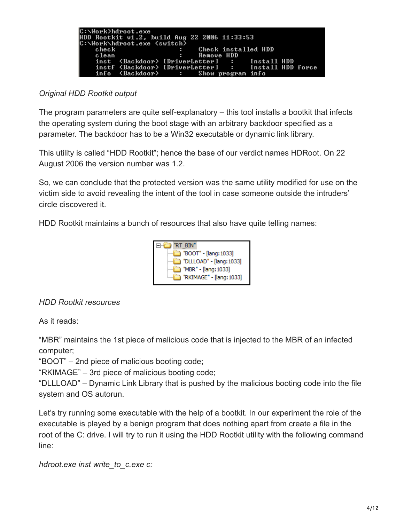| C:\Work>hdroot.exe<br>C:\Work\hdroot.exe <switch></switch> | HDD Rootkit v1.2, build Aug 22 2006 11:33:53                                                                      |
|------------------------------------------------------------|-------------------------------------------------------------------------------------------------------------------|
| check                                                      | : Check installed HDD                                                                                             |
| c lean                                                     | : Remove HDD<br>inst <backdoor> [DriverLetter] : Install HDD</backdoor>                                           |
|                                                            | instf <backdoor> [DriverLetter] : Install HDD force<br/>info <backdoor> : Show program info</backdoor></backdoor> |

*Original HDD Rootkit output*

The program parameters are quite self-explanatory – this tool installs a bootkit that infects the operating system during the boot stage with an arbitrary backdoor specified as a parameter. The backdoor has to be a Win32 executable or dynamic link library.

This utility is called "HDD Rootkit"; hence the base of our verdict names HDRoot. On 22 August 2006 the version number was 1.2.

So, we can conclude that the protected version was the same utility modified for use on the victim side to avoid revealing the intent of the tool in case someone outside the intruders' circle discovered it.

HDD Rootkit maintains a bunch of resources that also have quite telling names:



#### *HDD Rootkit resources*

As it reads:

"MBR" maintains the 1st piece of malicious code that is injected to the MBR of an infected computer;

"BOOT" – 2nd piece of malicious booting code;

"RKIMAGE" – 3rd piece of malicious booting code;

"DLLLOAD" – Dynamic Link Library that is pushed by the malicious booting code into the file system and OS autorun.

Let's try running some executable with the help of a bootkit. In our experiment the role of the executable is played by a benign program that does nothing apart from create a file in the root of the C: drive. I will try to run it using the HDD Rootkit utility with the following command line:

*hdroot.exe inst write\_to\_c.exe c:*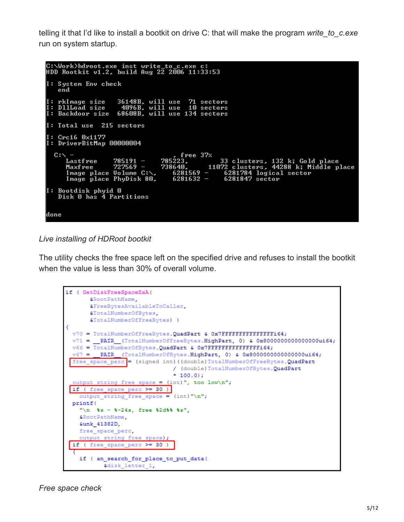telling it that I'd like to install a bootkit on drive C: that will make the program *write\_to\_c.exe* run on system startup.



*Live installing of HDRoot bootkit*

The utility checks the free space left on the specified drive and refuses to install the bootkit when the value is less than 30% of overall volume.

```
if ( GetDiskFreeSpaceExA(
       &RootPathName,
       &FreeBytesAvailableToCaller,
       &TotalNumberOfBytes,
      &TotalNumberOfFreeBytes) )
-{
 v70 = TotalNumberOfFreeBytes.QuadPart & Ox7FFFFFFFFFFFFFFF164;
 v71 = PAIR (TotalNumberOfFreeBytes.HighPart, 0) & 0x8000000000000000ui64;
 v66 = TotalNumberOfBytes. QuadPart & Ox7FFFFFFFFFFFFFFF164;
  v67 =PAIR (TotalNumberOfBytes.HighPart, 0) & 0x800000000000000000i64;
 free space perc = (signed int) ((double)TotalNumberOfFreeBytes.QuadPart
                               / (double)TotalNumberOfBytes.QuadPart
                               *100.0);output string free space = (int)", too low\n";
if ( free space perc >= 30 )
   output string free space = (int) "\n";printf(
   "\n *_5 - _4 - 24s, free *_2d*_5 + _5",
   &RootPathName,
   &unk 41382D,
   free space perc,
    output string free space);
 if ( free space perc >= 30 )
   if ( an_search_for_place_to_put_data(
           &disk letter 1,
```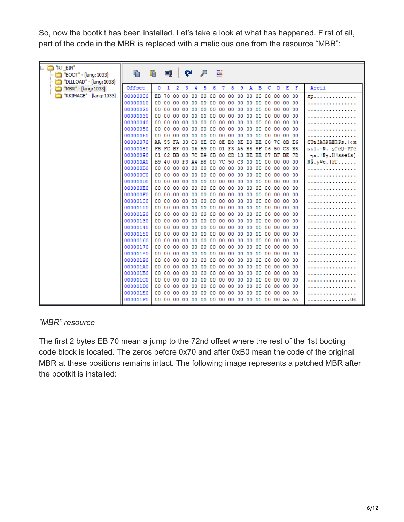So, now the bootkit has been installed. Let's take a look at what has happened. First of all, part of the code in the MBR is replaced with a malicious one from the resource "MBR":

| ⊟ <sup>.</sup> <mark>a</mark> "RT_BIN"<br>"BOOT" - [lang: 1033]<br>Ð<br>"DLLLOAD" - [lang: 1033] | Ò        | Ō            | qĵ              |             | <b>Q</b>    |     | P                                |             | 鬘     |                   |     |          |             |          |    |                               |     |                                 |
|--------------------------------------------------------------------------------------------------|----------|--------------|-----------------|-------------|-------------|-----|----------------------------------|-------------|-------|-------------------|-----|----------|-------------|----------|----|-------------------------------|-----|---------------------------------|
| MBR" - [lang: 1033]                                                                              | Offset   | $\mathbf{0}$ | 1               | 2           | з           | 4   | 5                                | 6           | 7     | 8                 | 9   | А        | в           | c        | D  | E                             | F   | Ascii                           |
| '⊶a<br>"RKIMAGE" - [lang: 1033]                                                                  | 00000000 |              |                 | EB 70 00 00 |             | 00  | 00                               |             |       |                   |     |          |             |          |    | 00 00 00 00 00 00 00 00 00 00 |     | JD                              |
|                                                                                                  | 00000010 | 00           |                 | 00 00       | 00          | 00  | 00                               | 00 00 00 00 |       |                   |     | 00       |             |          |    | 00 00 00 00 00                |     |                                 |
|                                                                                                  | 00000020 | 00           | 00 00           |             | 00          | 00  | 00                               | 00 00 00 00 |       |                   |     |          |             |          |    | 00 00 00 00 00 00             |     |                                 |
|                                                                                                  | 00000030 | 00           | 00 00           |             | 00.         | -00 | 00                               | 00 00 00 00 |       |                   |     | 00.      | 00 00 00    |          |    | 00 00                         |     |                                 |
|                                                                                                  | 00000040 | 00           | 00 00           |             | 00          | 00  | oo                               | 00 00 00 00 |       |                   |     | 00       | 00 00 00    |          |    | 00 00                         |     |                                 |
|                                                                                                  | 00000050 | 00           |                 | 00 00       | 00          | 00  | oo                               | 00 00 00 00 |       |                   |     | 00       | 00 00 00    |          |    | 00 00                         |     |                                 |
|                                                                                                  | 00000060 | 00           |                 | 00 00       | 00          | 00  | 00                               | 00 00 00 00 |       |                   |     |          | 00 00 00 00 |          |    | 00 00                         |     |                                 |
|                                                                                                  | 00000070 |              | AA 55 FA        |             | 33          | CО  | 8E.                              | C0          |       | 8E D8 8E D0 BE 00 |     |          |             |          | 7C | 8B E6                         |     | <b>CULSATALIBES. KX</b>         |
|                                                                                                  | 00000080 | FB           | FC              | BF          | 00          | 06  | B9                               | 00 01 F3 A5 |       |                   |     | в8       | 8 F         | 06 50    |    | C3 B8                         |     | ыьї.-N. yҐёЏ-PГё                |
|                                                                                                  | 00000090 | 01           | 02 BB           |             | 00          | 7C  | <b>B9</b>                        | oв          | 00 CD |                   |     | 13 BE BE |             | 07       | ВF | BE 7D                         |     | <sub>7</sub> ».   Nd. H!!sseïs} |
|                                                                                                  | 000000A0 | B9           |                 | 40 00       | F3          | Α4  | - B8                             | -00         | 7C    | 50 C3             |     | 00       | 00          | 00 00    |    | 00 00                         |     | $M@.yH@.$   $PT.$               |
|                                                                                                  | 000000B0 | 00           | 00.             | 00          | 00          | 00  | -00                              | 00          | nn    | 00                | -00 | nn.      | 00.         | 00.      | 00 | 00                            | -00 |                                 |
|                                                                                                  | 000000C0 | 00           | 00 <sup>1</sup> | 00          | 00          | 00  | -00                              | 00          | 00    | 00                | -00 | 00.      | 00          | 00       | 00 | 00                            | 00  |                                 |
|                                                                                                  | 000000D0 | 00           | 00              | - O O       | 00          | 00  | -00                              | 00          | nn    | 00                | -00 | nn.      | 00          | 00       | 00 | 00                            | 00  |                                 |
|                                                                                                  | 000000E0 | ۵O           | 00.             | -00         | 00          | 00  | 00                               | 00          | 00    | 00                | 00  | 00.      | 00.         | 00       | 00 | 00                            | 00  |                                 |
|                                                                                                  | 000000F0 | 00           | 00.             | -00         | 00          | 00  | 00                               | 00          | 00    | 00                | 00  | 00       | 00          | 00       | 00 | 00                            | 00  |                                 |
|                                                                                                  | 00000100 | 00           | 00 <sup>o</sup> | -nn         | 00.         | 00  | 00.                              | 00.         | 00    | 00                | 00  | 00.      | 00          | 00       | 00 | 00                            | -00 |                                 |
|                                                                                                  | 00000110 | 00           | 00.             | 00          | 00          | 00  | 00                               | 00          | 00    | 00                | 00  | 00       | 00          | 00 00    |    | 00 00                         |     |                                 |
|                                                                                                  | 00000120 | 00           | 00              | 00.         | 00.         | 00. | ۵O                               | 00.         | 00    | 00                | 00  | ۵O       | 00          | 00       | 00 | 00                            | -00 |                                 |
|                                                                                                  | 00000130 | 00           | 00              | -00         | nn          | 00  | 00                               | 00          | -00   | 00                | 00  | 00.      |             | 00 00 00 |    | 00 00                         |     |                                 |
|                                                                                                  | 00000140 | 00           | 00              | 00          | 00          | 00  | 00                               | 00          | 00    | 00                | 00  | 00.      |             | 00 00 00 |    | 00                            | 00  |                                 |
|                                                                                                  | 00000150 | 00           | 00              | -00         | 00.         | 00  | 00.                              | 00          | -00   | 00                | -nn | 00.      |             | 00 00 00 |    | 00                            | 00  |                                 |
|                                                                                                  | 00000160 | 00           | 00.             | -00         | 00          | 00  | 00                               | 00          | 00    | 00                | 00  | 00.      |             |          |    | 00 00 00 00                   | -00 |                                 |
|                                                                                                  | 00000170 | 00           | 00.             | -00         | 00          | 00  | 00                               | 00          | 00    | 00                | 00  | 00       |             |          |    | 00 00 00 00 00                |     |                                 |
|                                                                                                  | 00000180 | 00           | 00              | -00         | 00.         | 00  | 00                               | 00          | 00    | 00                | 00  | 00       |             |          |    | 00 00 00 00 00                |     |                                 |
|                                                                                                  | 00000190 | 00           | 00              | 00          | 00          | 00  | 00                               | 00          | 00    | 00                | 00  | 00.      |             |          |    | 00 00 00 00 00                |     |                                 |
|                                                                                                  | 000001A0 | 00           | 00              | 00          | 00          | 00  | 00                               | 00          | 00    | 00                | 00  | 00       |             |          |    | 00 00 00 00 00                |     |                                 |
|                                                                                                  | 000001B0 | 00           | 00.             | 00.         | 00.         | 00. | 00.                              | 00.         | ۵O    | 00.               | ۵O  | 00.      |             |          |    | 00 00 00 00 00                |     |                                 |
|                                                                                                  | 000001C0 | 00           | 00              | 00          | 00          | 00  | 00                               | 00          | 00    | 00                | 00  | 00.      |             |          |    | 00 00 00 00 00                |     |                                 |
|                                                                                                  | 000001D0 | 00           | 00              | 00.         | 00.         | 00  | ۵O                               | 00.         | 00    | 00.               | 00  | 00.      |             |          |    | 00 00 00 00 00                |     |                                 |
|                                                                                                  | 000001E0 | 00           | 00.             | -nn         | 00.         | -nn | 00                               | 00.         | 00.   | .nn               | nn. | 00.      |             |          |    | 00 00 00 00 00                |     |                                 |
|                                                                                                  | 000001F0 | 00           |                 |             | 00 00 00 00 |     | 00 00 00 00 00 00 00 00 00 55 AA |             |       |                   |     |          |             |          |    |                               |     | . 06                            |

#### *"MBR" resource*

The first 2 bytes EB 70 mean a jump to the 72nd offset where the rest of the 1st booting code block is located. The zeros before 0x70 and after 0xB0 mean the code of the original MBR at these positions remains intact. The following image represents a patched MBR after the bootkit is installed: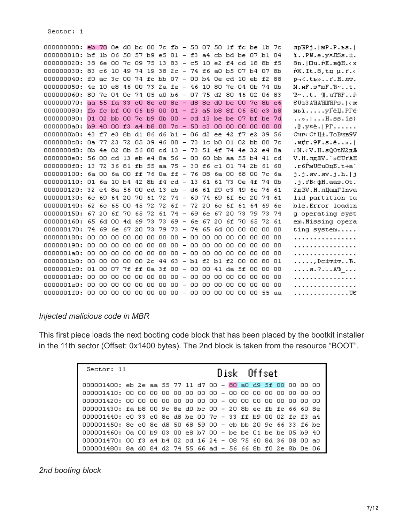Sector: 1

| 000000000: eb 70 8e d0 bc 00 7c fb - 50 07 50 1f fc be 1b 7c |     |       |                |       |                          |          |       |             |           |     |                                                   |     |          |       |       |       | лрЋРј. ыР.Р.ьз.                           |
|--------------------------------------------------------------|-----|-------|----------------|-------|--------------------------|----------|-------|-------------|-----------|-----|---------------------------------------------------|-----|----------|-------|-------|-------|-------------------------------------------|
| 000000010: bf 1b 06 50 57 b9 e5 01 - f3 a4 cb bd be 07 b1 04 |     |       |                |       |                          |          |       |             |           |     |                                                   |     |          |       |       |       | ïPW.e.y¤JISs.±.                           |
| 000000020: 38 6e 00 7c 09 75 13 83 - c5 10 e2 f4 cd 18 8b f5 |     |       |                |       |                          |          |       |             |           |     |                                                   |     |          |       |       |       | $8n.1$ Uu. $nE$ . $B\Phi H$ . $\& X$      |
| 000000030: 83                                                |     |       |                |       |                          |          |       |             |           |     | c6 10 49 74 19 38 2c - 74 f6 a0 b5 07 b4 07 8b    |     |          |       |       |       | ŕЖ. It.8, tц µ. ґ.<                       |
| 000000040:                                                   | f0. |       |                |       |                          |          |       |             |           |     | ac 3c 00 74 fc bb 07 - 00 b4 0e cd 10 eb f2       |     |          |       |       | -88   | $p\neg\lt.$ . $t$ b» $r$ . $H$ . $\pi$ r. |
| 000000050: 4e 10 e8 46 00 73 2a fe - 46 10 80 7e 04 0b       |     |       |                |       |                          |          |       |             |           |     |                                                   |     |          |       |       | 74 Ob | $N.MF.S*DF.F~.$                           |
| 000000060: 80 7e 04 0c 74 05 a0 b6 - 07 75 d2 80             |     |       |                |       |                          |          |       |             |           |     |                                                   |     | 46 02    |       | 86 83 |       | $B \simt.$ T.uTBF $\phi$                  |
| 000000070:                                                   |     |       |                |       |                          |          |       |             |           |     | aa 55 fa 33 c0 8e c0 8e - d8 8e d0 be 00 7c       |     |          |       |       | 8b e6 | <b>CUL3ARARMAPS.IKX</b>                   |
| 000000080:                                                   |     |       | fb fc bf 00    |       |                          |          |       |             |           |     | 06 b9 00 01 - f3 a5 b8 8f 06 50 c3 b8             |     |          |       |       |       | ыьїyҐёЏ.PГё                               |
| 000000090:                                                   |     |       | $0102$ bb $00$ |       |                          |          |       |             |           |     | 7c b9 0b 00 - cd 13 be be 07 bf be 7d             |     |          |       |       |       | ». H.ss.ïs}                               |
| 0000000a0:                                                   |     |       |                |       |                          |          |       |             |           |     | b9 40 00 f3 a4 b8 00 7c - 50 c3 00 00 00 00 00 00 |     |          |       |       |       | .0.y¤ë. PГ                                |
| 000000000: 43 f7 e3                                          |     |       |                |       |                          |          |       |             |           |     | 8b d1 86 d6 b1 - 06 d2 ee 42                      |     | f7.      | e2.   |       | 39 56 | Счг< C+Ц±. ТоВчв9V                        |
| 0000000c0: 0a 77 23                                          |     |       |                |       |                          |          |       |             |           |     | 72 05 39 46 08 - 73 1c b8 01 02 bb                |     |          |       | 00 7c |       | .w#r.9F.s.ë».                             |
| 0000000d0: 8b 4e 02                                          |     |       |                |       |                          |          |       |             |           |     | 8b 56 00 cd 13 - 73 51 4f 74 4e 32                |     |          |       |       | e4 8a | $\times N. \times V.$ H. sQOtN2 $\pi$ J   |
| 0000000e0: 56 00 cd 13 eb e4 8a 56 - 00 60 bb aa 55 b4 41 cd |     |       |                |       |                          |          |       |             |           |     |                                                   |     |          |       |       |       | V.H. JILW. `»EUTAH                        |
| 0000000f0:                                                   | 13  |       |                |       |                          |          |       |             |           |     | 72 36 81 fb 55 aa 75 - 30 f6 c1 01 74 2b          |     |          |       |       | 61 60 | .r6fmUEuOuB.t+a`                          |
| 000000100:                                                   |     |       |                |       |                          |          |       |             |           |     | 6a 00 6a 00 ff 76 0a ff - 76 08 6a 00             |     | 68.      | -00.  | 7c.   | - ба  | j.j.av.av.j.h. j                          |
| 000000110: 01 6a 10 b4 42 8b f4 cd - 13 61 61 73 0e 4f 74 0b |     |       |                |       |                          |          |       |             |           |     |                                                   |     |          |       |       |       | .i.ґB< фH.aas.Ot.                         |
| 000000120: 32 e4 8a 56 00 cd 13 eb - d6 61 f9 c3 49 6e 76    |     |       |                |       |                          |          |       |             |           |     |                                                   |     |          |       |       | - 61  | 2дЉV.Н.лЦащГInva                          |
| 000000130:                                                   | 6c. |       |                |       |                          |          |       |             |           |     | 69 64 20 70 61 72 74 - 69 74 69 6f 6e 20          |     |          |       |       | 74 61 | lid partition ta                          |
| 000000140:                                                   | 62  | 6c.   | 65             | 00 45 |                          |          |       |             |           |     | 72 72 6f - 72 20 6c 6f                            |     |          | 61 64 | -69   | 6e    | ble.Error loadin                          |
| 000000150:                                                   | 67  | 20    | 6f 70 65 72    |       |                          |          | 61    | $74 - 69$   |           |     | 6e 67                                             | 20  | 73.      | 79.   |       | 73 74 | g operating syst                          |
| 000000160:                                                   | 65. |       | 6d 00 4d 69    |       |                          | 73       | 73    |             | $69 - 6e$ |     | 67 20                                             | 6f  | 70.      | 65    | 72    | -61   | em.Missing opera                          |
| 000000170:                                                   |     | 74 69 | 6e 67          |       | -20                      | 73       | 79.   |             |           |     | $73 - 74$ 65 6d 00                                |     | OO.      | OO.   | OO.   | 00.   | ting system                               |
| 000000180:                                                   | 00. | 00.   | 00.            | 00    | 00.                      |          | 00 00 | $00 - 00$   |           |     | 00 00                                             | -00 | 00.      | -00   | 00 00 |       | .                                         |
| 000000190:                                                   | 00  | 00.   | 00.            | 00.   | 00.                      | 00.      |       | $0000 - 00$ |           | 00. | 00.                                               | 00. | 00 00    |       | 00 00 |       | .                                         |
| 0000001a0:                                                   | OO. | OO.   | 00             | 00.   |                          | 00 00 00 |       | $00 - 00$   |           |     | 00 00                                             | 00  | OO.      | OO.   |       | 00 00 | .                                         |
| 0000001b0:                                                   | 00  | 00.   | 00             | 00    | 002c                     |          |       |             |           |     | $44$ 63 - b1 f2 b1                                | £2  | 00.      | 00    |       | 80 01 | $\ldots$ , De $\pm$ T $\pm$ T $\pm$       |
| 0000001c0:                                                   | 01  | 00.   | 07             | 7f    | ff $0a \, 3f \, 00 - 00$ |          |       |             |           |     | 00 41                                             |     | da 5f 00 |       | 00.   | 00    |                                           |
| 0000001d0:                                                   | OO. | 00.   | 00.            | 00.   | 00 00 00                 |          |       | $00 - 00$   |           |     | 00 00                                             | 00. | oo oo    |       |       | 00 OO | .                                         |
| 0000001e0:                                                   | 00  | 00.   | 00.            | 00    | 00.                      |          | 00 00 | $00 - 00$   |           | 00  | 00.                                               | 00. | 00.      | 00    | 00 00 |       | .                                         |
|                                                              |     |       |                |       |                          |          |       |             |           |     |                                                   |     |          |       |       |       | . UE                                      |

#### *Injected malicious code in MBR*

This first piece loads the next booting code block that has been placed by the bootkit installer in the 11th sector (Offset: 0x1400 bytes). The 2nd block is taken from the resource "BOOT".

| Sector: 11 |                                                              |  |  |  |  |  |  |  |  |  | Disk Offset |  |  |  |  |  |  |  |  |  |  |
|------------|--------------------------------------------------------------|--|--|--|--|--|--|--|--|--|-------------|--|--|--|--|--|--|--|--|--|--|
|            | 000001400: eb 2e aa 55 77 11 d7 00 - 80 a0 d9 5f 00 00 00 00 |  |  |  |  |  |  |  |  |  |             |  |  |  |  |  |  |  |  |  |  |
|            |                                                              |  |  |  |  |  |  |  |  |  |             |  |  |  |  |  |  |  |  |  |  |
|            |                                                              |  |  |  |  |  |  |  |  |  |             |  |  |  |  |  |  |  |  |  |  |
|            | 000001430: fa b8 00 9c 8e d0 bc 00 - 20 8b ec fb fc 66 60 8e |  |  |  |  |  |  |  |  |  |             |  |  |  |  |  |  |  |  |  |  |
|            | 000001440: c0 33 c0 8e d8 be 00 7c - 33 ff b9 00 02 fc f3 a4 |  |  |  |  |  |  |  |  |  |             |  |  |  |  |  |  |  |  |  |  |
|            | 000001450: 8c c0 8e d8 50 68 59 00 - cb bb 20 9c 66 33 f6 be |  |  |  |  |  |  |  |  |  |             |  |  |  |  |  |  |  |  |  |  |
|            | 000001460: 0a 00 b9 03 00 e8 b7 00 - be be 01 be be 05 b9 40 |  |  |  |  |  |  |  |  |  |             |  |  |  |  |  |  |  |  |  |  |
|            | 000001470: 00 f3 a4 b4 O2 cd 16 24 – 08 75 60 8d 36 08 00 ac |  |  |  |  |  |  |  |  |  |             |  |  |  |  |  |  |  |  |  |  |
|            | 000001480: 8a d0 84 d2 74 55 66 ad - 56 66 8b f0 2e 8b 0e 06 |  |  |  |  |  |  |  |  |  |             |  |  |  |  |  |  |  |  |  |  |

*2nd booting block*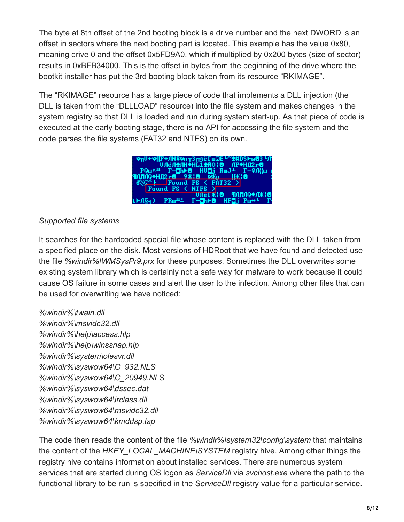The byte at 8th offset of the 2nd booting block is a drive number and the next DWORD is an offset in sectors where the next booting part is located. This example has the value 0x80, meaning drive 0 and the offset 0x5FD9A0, which if multiplied by 0x200 bytes (size of sector) results in 0xBFB34000. This is the offset in bytes from the beginning of the drive where the bootkit installer has put the 3rd booting block taken from its resource "RKIMAGE".

The "RKIMAGE" resource has a large piece of code that implements a DLL injection (the DLL is taken from the "DLLLOAD" resource) into the file system and makes changes in the system registry so that DLL is loaded and run during system start-up. As that piece of code is executed at the early booting stage, there is no API for accessing the file system and the code parses the file systems (FAT32 and NTFS) on its own.

| <del>хп</del> U←хН F+ЛN♀хпт3пўёГш©Е ™Ф#D\$ÞыВЗ ЧЛ<br>UЛёЛ <del>Ф</del> ЛН◆НЁ1 <del>ФЙ</del> О: © ЛР◆НД2гӨ |
|-----------------------------------------------------------------------------------------------------------|
| PQw¤" T-Ohr8 HVOj RwJ+ T-9Ո¦ш m                                                                           |
| 900000002r8 9%18 XXn HX18                                                                                 |
| $\delta \$ $\blacksquare$ Found FS (FAT32)<br>Found FS (NTFS)                                             |
| UNBIXIO ¶N∏NQ◆NXIO                                                                                        |
| PRw"≐ T-Oh⊁8<br>HFai Pu+L<br>tト/l§a)                                                                      |

#### *Supported file systems*

It searches for the hardcoded special file whose content is replaced with the DLL taken from a specified place on the disk. Most versions of HDRoot that we have found and detected use the file *%windir%\WMSysPr9.prx* for these purposes. Sometimes the DLL overwrites some existing system library which is certainly not a safe way for malware to work because it could cause OS failure in some cases and alert the user to the infection. Among other files that can be used for overwriting we have noticed:

*%windir%\twain.dll %windir%\msvidc32.dll %windir%\help\access.hlp %windir%\help\winssnap.hlp %windir%\system\olesvr.dll %windir%\syswow64\C\_932.NLS %windir%\syswow64\C\_20949.NLS %windir%\syswow64\dssec.dat %windir%\syswow64\irclass.dll %windir%\syswow64\msvidc32.dll %windir%\syswow64\kmddsp.tsp*

The code then reads the content of the file *%windir%\system32\config\system* that maintains the content of the *HKEY\_LOCAL\_MACHINE\SYSTEM* registry hive. Among other things the registry hive contains information about installed services. There are numerous system services that are started during OS logon as *ServiceDll* via *svchost.exe* where the path to the functional library to be run is specified in the *ServiceDll* registry value for a particular service.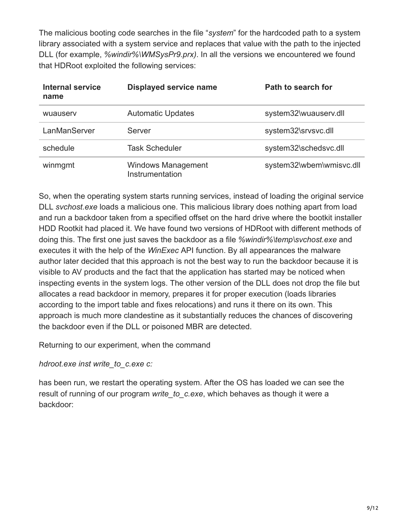The malicious booting code searches in the file "*system*" for the hardcoded path to a system library associated with a system service and replaces that value with the path to the injected DLL (for example, *%windir%\WMSysPr9.prx)*. In all the versions we encountered we found that HDRoot exploited the following services:

| <b>Internal service</b><br>name | <b>Displayed service name</b>                | Path to search for       |  |  |  |  |  |
|---------------------------------|----------------------------------------------|--------------------------|--|--|--|--|--|
| wuauserv                        | <b>Automatic Updates</b>                     | system32\wuauserv.dll    |  |  |  |  |  |
| LanManServer                    | Server                                       | system32\srvsvc.dll      |  |  |  |  |  |
| schedule                        | <b>Task Scheduler</b>                        | system32\schedsvc.dll    |  |  |  |  |  |
| winmgmt                         | <b>Windows Management</b><br>Instrumentation | system32\wbem\wmisvc.dll |  |  |  |  |  |

So, when the operating system starts running services, instead of loading the original service DLL *svchost.exe* loads a malicious one. This malicious library does nothing apart from load and run a backdoor taken from a specified offset on the hard drive where the bootkit installer HDD Rootkit had placed it. We have found two versions of HDRoot with different methods of doing this. The first one just saves the backdoor as a file *%windir%\temp\svchost.exe* and executes it with the help of the *WinExec* API function. By all appearances the malware author later decided that this approach is not the best way to run the backdoor because it is visible to AV products and the fact that the application has started may be noticed when inspecting events in the system logs. The other version of the DLL does not drop the file but allocates a read backdoor in memory, prepares it for proper execution (loads libraries according to the import table and fixes relocations) and runs it there on its own. This approach is much more clandestine as it substantially reduces the chances of discovering the backdoor even if the DLL or poisoned MBR are detected.

Returning to our experiment, when the command

#### *hdroot.exe inst write\_to\_c.exe c:*

has been run, we restart the operating system. After the OS has loaded we can see the result of running of our program *write\_to\_c.exe*, which behaves as though it were a backdoor: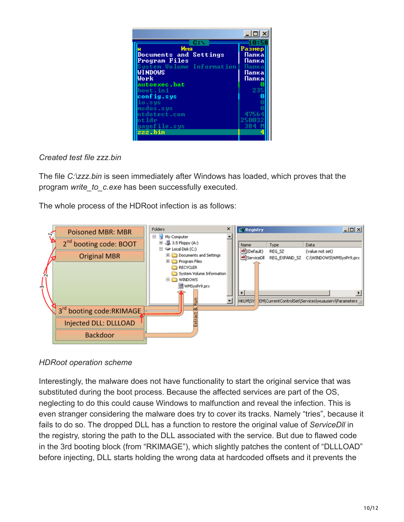|                           | $\Box$   |
|---------------------------|----------|
|                           | $=10:58$ |
| Имя                       | Размер   |
| Documents and Settings    | Папка    |
| Program Files             | Nankal   |
| System Volume Information | Папка    |
| <b>WINDOWS</b>            | Папка    |
| Work                      | Папка    |
| autoexec.bat              |          |
| boot.ini                  | 235      |
| config.sys                |          |
| io.sys                    |          |
| msdos.sys                 |          |
| ntdetect.com              | 4756     |
| nt 1dr                    | 2500     |
| pagefile.sys              | 384      |
| zzz.bin                   |          |
|                           |          |

#### *Created test file zzz.bin*

The file *C:\zzz.bin* is seen immediately after Windows has loaded, which proves that the program *write\_to\_c.exe* has been successfully executed.

The whole process of the HDRoot infection is as follows:



### *HDRoot operation scheme*

Interestingly, the malware does not have functionality to start the original service that was substituted during the boot process. Because the affected services are part of the OS, neglecting to do this could cause Windows to malfunction and reveal the infection. This is even stranger considering the malware does try to cover its tracks. Namely "tries", because it fails to do so. The dropped DLL has a function to restore the original value of *ServiceDll* in the registry, storing the path to the DLL associated with the service. But due to flawed code in the 3rd booting block (from "RKIMAGE"), which slightly patches the content of "DLLLOAD" before injecting, DLL starts holding the wrong data at hardcoded offsets and it prevents the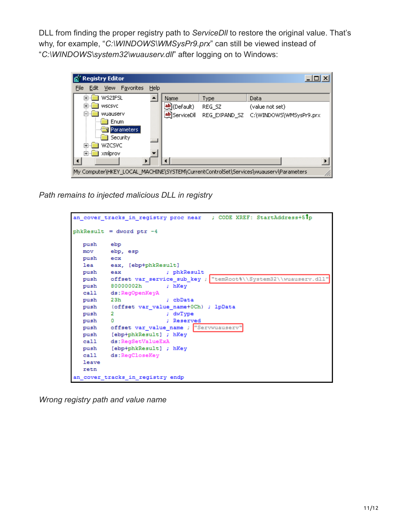DLL from finding the proper registry path to *ServiceDll* to restore the original value. That's why, for example, "*C:\WINDOWS\WMSysPr9.prx*" can still be viewed instead of "*C:\WINDOWS\system32\wuauserv.dll*" after logging on to Windows:



*Path remains to injected malicious DLL in registry*



*Wrong registry path and value name*